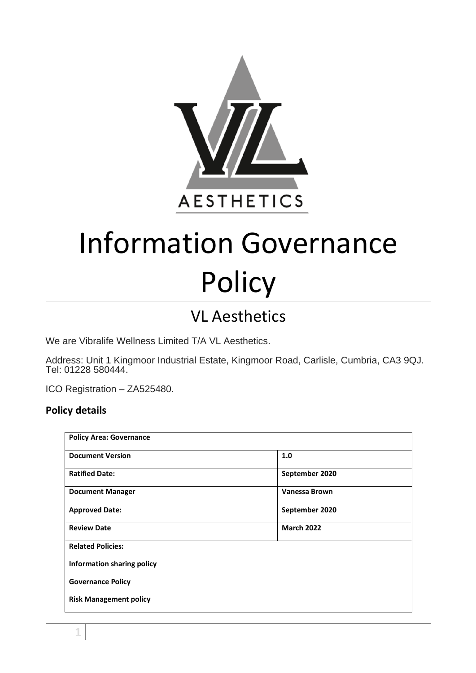

# Information Governance **Policy**

## VL Aesthetics

We are Vibralife Wellness Limited T/A VL Aesthetics.

Address: Unit 1 Kingmoor Industrial Estate, Kingmoor Road, Carlisle, Cumbria, CA3 9QJ. Tel: 01228 580444.

ICO Registration – ZA525480.

#### **Policy details**

| <b>Policy Area: Governance</b> |                      |
|--------------------------------|----------------------|
| <b>Document Version</b>        | 1.0                  |
| <b>Ratified Date:</b>          | September 2020       |
| <b>Document Manager</b>        | <b>Vanessa Brown</b> |
| <b>Approved Date:</b>          | September 2020       |
| <b>Review Date</b>             | <b>March 2022</b>    |
| <b>Related Policies:</b>       |                      |
| Information sharing policy     |                      |
| <b>Governance Policy</b>       |                      |
| <b>Risk Management policy</b>  |                      |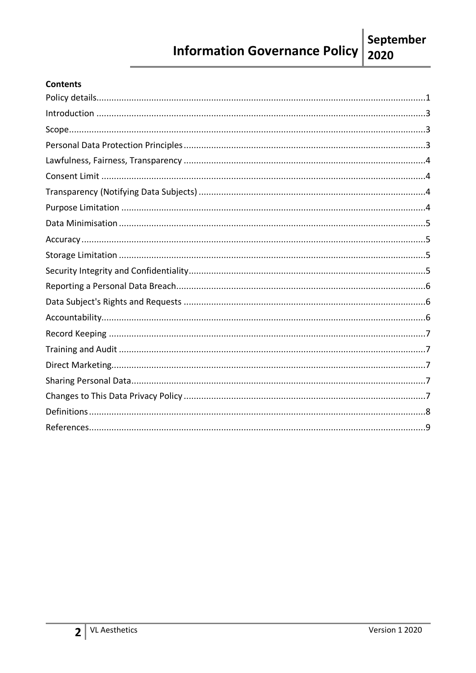#### **Information Governance Policy** 2020

#### **Contents**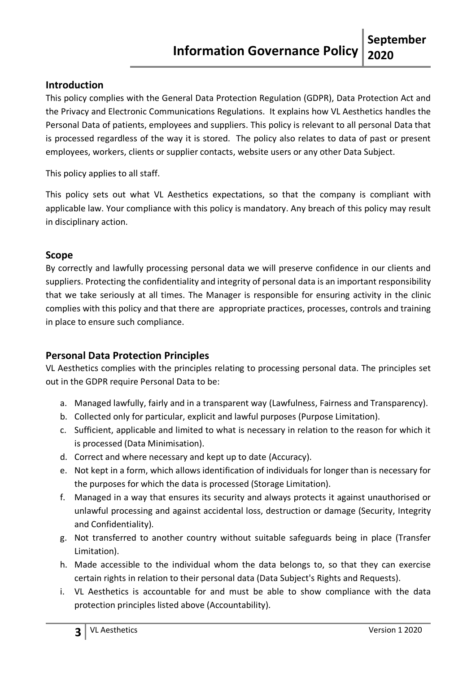#### **Introduction**

This policy complies with the General Data Protection Regulation (GDPR), Data Protection Act and the Privacy and Electronic Communications Regulations. It explains how VL Aesthetics handles the Personal Data of patients, employees and suppliers. This policy is relevant to all personal Data that is processed regardless of the way it is stored. The policy also relates to data of past or present employees, workers, clients or supplier contacts, website users or any other Data Subject.

This policy applies to all staff.

This policy sets out what VL Aesthetics expectations, so that the company is compliant with applicable law. Your compliance with this policy is mandatory. Any breach of this policy may result in disciplinary action.

#### **Scope**

By correctly and lawfully processing personal data we will preserve confidence in our clients and suppliers. Protecting the confidentiality and integrity of personal data is an important responsibility that we take seriously at all times. The Manager is responsible for ensuring activity in the clinic complies with this policy and that there are appropriate practices, processes, controls and training in place to ensure such compliance.

#### **Personal Data Protection Principles**

VL Aesthetics complies with the principles relating to processing personal data. The principles set out in the GDPR require Personal Data to be:

- a. Managed lawfully, fairly and in a transparent way (Lawfulness, Fairness and Transparency).
- b. Collected only for particular, explicit and lawful purposes (Purpose Limitation).
- c. Sufficient, applicable and limited to what is necessary in relation to the reason for which it is processed (Data Minimisation).
- d. Correct and where necessary and kept up to date (Accuracy).
- e. Not kept in a form, which allows identification of individuals for longer than is necessary for the purposes for which the data is processed (Storage Limitation).
- f. Managed in a way that ensures its security and always protects it against unauthorised or unlawful processing and against accidental loss, destruction or damage (Security, Integrity and Confidentiality).
- g. Not transferred to another country without suitable safeguards being in place (Transfer Limitation).
- h. Made accessible to the individual whom the data belongs to, so that they can exercise certain rights in relation to their personal data (Data Subject's Rights and Requests).
- i. VL Aesthetics is accountable for and must be able to show compliance with the data protection principles listed above (Accountability).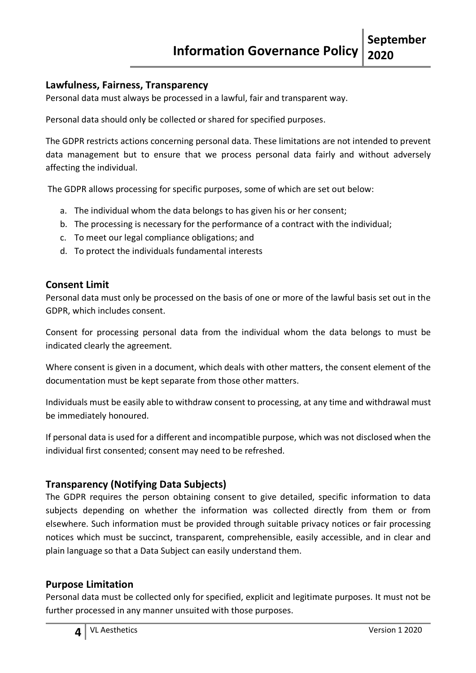#### **Lawfulness, Fairness, Transparency**

Personal data must always be processed in a lawful, fair and transparent way.

Personal data should only be collected or shared for specified purposes.

The GDPR restricts actions concerning personal data. These limitations are not intended to prevent data management but to ensure that we process personal data fairly and without adversely affecting the individual.

The GDPR allows processing for specific purposes, some of which are set out below:

- a. The individual whom the data belongs to has given his or her consent;
- b. The processing is necessary for the performance of a contract with the individual;
- c. To meet our legal compliance obligations; and
- d. To protect the individuals fundamental interests

#### **Consent Limit**

Personal data must only be processed on the basis of one or more of the lawful basis set out in the GDPR, which includes consent.

Consent for processing personal data from the individual whom the data belongs to must be indicated clearly the agreement.

Where consent is given in a document, which deals with other matters, the consent element of the documentation must be kept separate from those other matters.

Individuals must be easily able to withdraw consent to processing, at any time and withdrawal must be immediately honoured.

If personal data is used for a different and incompatible purpose, which was not disclosed when the individual first consented; consent may need to be refreshed.

#### **Transparency (Notifying Data Subjects)**

The GDPR requires the person obtaining consent to give detailed, specific information to data subjects depending on whether the information was collected directly from them or from elsewhere. Such information must be provided through suitable privacy notices or fair processing notices which must be succinct, transparent, comprehensible, easily accessible, and in clear and plain language so that a Data Subject can easily understand them.

#### **Purpose Limitation**

Personal data must be collected only for specified, explicit and legitimate purposes. It must not be further processed in any manner unsuited with those purposes.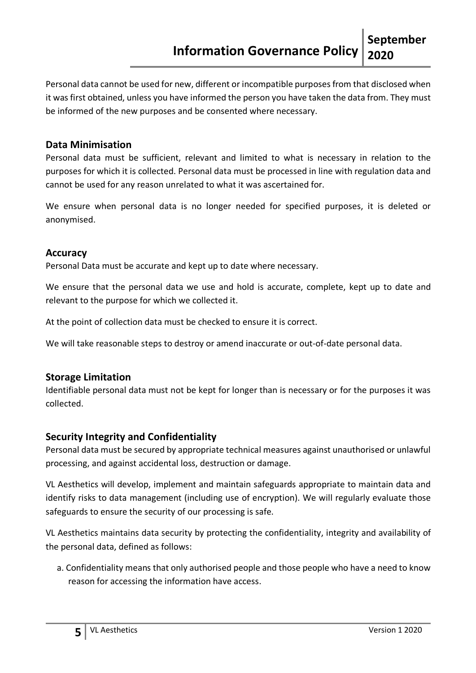Personal data cannot be used for new, different or incompatible purposes from that disclosed when it was first obtained, unless you have informed the person you have taken the data from. They must be informed of the new purposes and be consented where necessary.

#### **Data Minimisation**

Personal data must be sufficient, relevant and limited to what is necessary in relation to the purposes for which it is collected. Personal data must be processed in line with regulation data and cannot be used for any reason unrelated to what it was ascertained for.

We ensure when personal data is no longer needed for specified purposes, it is deleted or anonymised.

#### **Accuracy**

Personal Data must be accurate and kept up to date where necessary.

We ensure that the personal data we use and hold is accurate, complete, kept up to date and relevant to the purpose for which we collected it.

At the point of collection data must be checked to ensure it is correct.

We will take reasonable steps to destroy or amend inaccurate or out-of-date personal data.

#### **Storage Limitation**

Identifiable personal data must not be kept for longer than is necessary or for the purposes it was collected.

#### **Security Integrity and Confidentiality**

Personal data must be secured by appropriate technical measures against unauthorised or unlawful processing, and against accidental loss, destruction or damage.

VL Aesthetics will develop, implement and maintain safeguards appropriate to maintain data and identify risks to data management (including use of encryption). We will regularly evaluate those safeguards to ensure the security of our processing is safe.

VL Aesthetics maintains data security by protecting the confidentiality, integrity and availability of the personal data, defined as follows:

a. Confidentiality means that only authorised people and those people who have a need to know reason for accessing the information have access.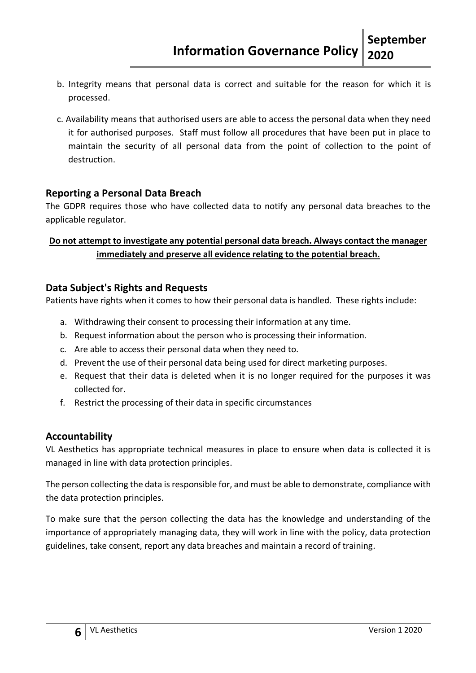- b. Integrity means that personal data is correct and suitable for the reason for which it is processed.
- c. Availability means that authorised users are able to access the personal data when they need it for authorised purposes. Staff must follow all procedures that have been put in place to maintain the security of all personal data from the point of collection to the point of destruction.

#### **Reporting a Personal Data Breach**

The GDPR requires those who have collected data to notify any personal data breaches to the applicable regulator.

#### **Do not attempt to investigate any potential personal data breach. Always contact the manager immediately and preserve all evidence relating to the potential breach.**

#### **Data Subject's Rights and Requests**

Patients have rights when it comes to how their personal data is handled. These rights include:

- a. Withdrawing their consent to processing their information at any time.
- b. Request information about the person who is processing their information.
- c. Are able to access their personal data when they need to.
- d. Prevent the use of their personal data being used for direct marketing purposes.
- e. Request that their data is deleted when it is no longer required for the purposes it was collected for.
- f. Restrict the processing of their data in specific circumstances

#### **Accountability**

VL Aesthetics has appropriate technical measures in place to ensure when data is collected it is managed in line with data protection principles.

The person collecting the data is responsible for, and must be able to demonstrate, compliance with the data protection principles.

To make sure that the person collecting the data has the knowledge and understanding of the importance of appropriately managing data, they will work in line with the policy, data protection guidelines, take consent, report any data breaches and maintain a record of training.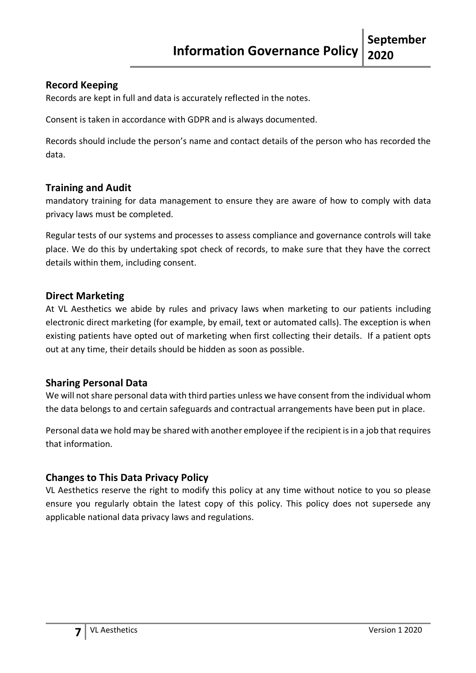#### **Record Keeping**

Records are kept in full and data is accurately reflected in the notes.

Consent is taken in accordance with GDPR and is always documented.

Records should include the person's name and contact details of the person who has recorded the data.

#### **Training and Audit**

mandatory training for data management to ensure they are aware of how to comply with data privacy laws must be completed.

Regular tests of our systems and processes to assess compliance and governance controls will take place. We do this by undertaking spot check of records, to make sure that they have the correct details within them, including consent.

#### **Direct Marketing**

At VL Aesthetics we abide by rules and privacy laws when marketing to our patients including electronic direct marketing (for example, by email, text or automated calls). The exception is when existing patients have opted out of marketing when first collecting their details. If a patient opts out at any time, their details should be hidden as soon as possible.

#### **Sharing Personal Data**

We will not share personal data with third parties unless we have consent from the individual whom the data belongs to and certain safeguards and contractual arrangements have been put in place.

Personal data we hold may be shared with another employee if the recipient is in a job that requires that information.

#### **Changes to This Data Privacy Policy**

VL Aesthetics reserve the right to modify this policy at any time without notice to you so please ensure you regularly obtain the latest copy of this policy. This policy does not supersede any applicable national data privacy laws and regulations.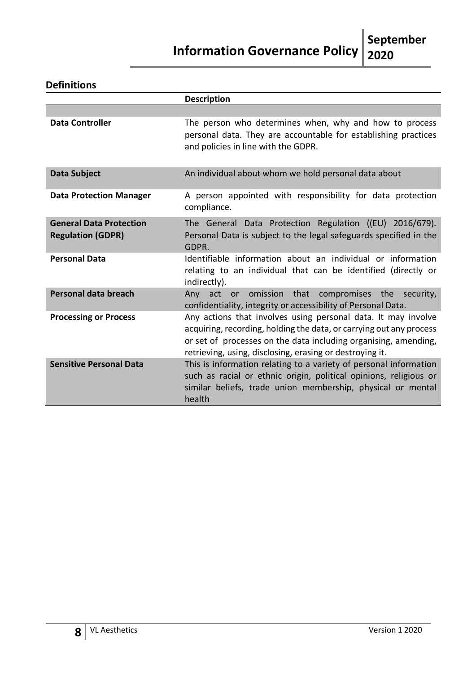### **Information Governance Policy** 2020 **2020**

#### **Definitions**

|                                                            | <b>Description</b>                                                                                                                                                                                                                                                  |
|------------------------------------------------------------|---------------------------------------------------------------------------------------------------------------------------------------------------------------------------------------------------------------------------------------------------------------------|
|                                                            |                                                                                                                                                                                                                                                                     |
| <b>Data Controller</b>                                     | The person who determines when, why and how to process<br>personal data. They are accountable for establishing practices<br>and policies in line with the GDPR.                                                                                                     |
| Data Subject                                               | An individual about whom we hold personal data about                                                                                                                                                                                                                |
| <b>Data Protection Manager</b>                             | A person appointed with responsibility for data protection<br>compliance.                                                                                                                                                                                           |
| <b>General Data Protection</b><br><b>Regulation (GDPR)</b> | The General Data Protection Regulation ((EU) 2016/679).<br>Personal Data is subject to the legal safeguards specified in the<br>GDPR.                                                                                                                               |
| <b>Personal Data</b>                                       | Identifiable information about an individual or information<br>relating to an individual that can be identified (directly or<br>indirectly).                                                                                                                        |
| <b>Personal data breach</b>                                | Any act or omission that<br>compromises the security,<br>confidentiality, integrity or accessibility of Personal Data.                                                                                                                                              |
| <b>Processing or Process</b>                               | Any actions that involves using personal data. It may involve<br>acquiring, recording, holding the data, or carrying out any process<br>or set of processes on the data including organising, amending,<br>retrieving, using, disclosing, erasing or destroying it. |
| <b>Sensitive Personal Data</b>                             | This is information relating to a variety of personal information<br>such as racial or ethnic origin, political opinions, religious or<br>similar beliefs, trade union membership, physical or mental<br>health                                                     |